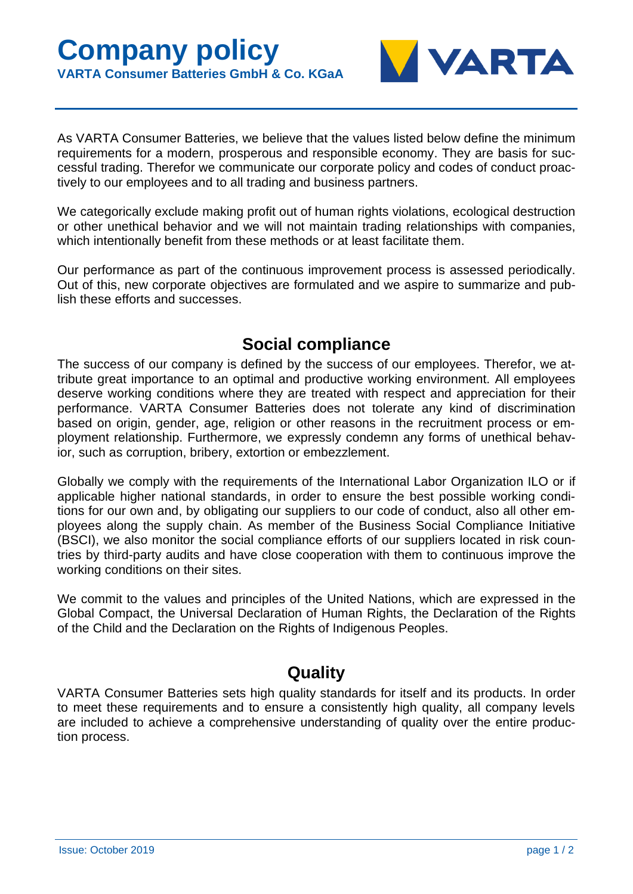

As VARTA Consumer Batteries, we believe that the values listed below define the minimum requirements for a modern, prosperous and responsible economy. They are basis for successful trading. Therefor we communicate our corporate policy and codes of conduct proactively to our employees and to all trading and business partners.

We categorically exclude making profit out of human rights violations, ecological destruction or other unethical behavior and we will not maintain trading relationships with companies, which intentionally benefit from these methods or at least facilitate them.

Our performance as part of the continuous improvement process is assessed periodically. Out of this, new corporate objectives are formulated and we aspire to summarize and publish these efforts and successes.

## **Social compliance**

The success of our company is defined by the success of our employees. Therefor, we attribute great importance to an optimal and productive working environment. All employees deserve working conditions where they are treated with respect and appreciation for their performance. VARTA Consumer Batteries does not tolerate any kind of discrimination based on origin, gender, age, religion or other reasons in the recruitment process or employment relationship. Furthermore, we expressly condemn any forms of unethical behavior, such as corruption, bribery, extortion or embezzlement.

Globally we comply with the requirements of the International Labor Organization ILO or if applicable higher national standards, in order to ensure the best possible working conditions for our own and, by obligating our suppliers to our code of conduct, also all other employees along the supply chain. As member of the Business Social Compliance Initiative (BSCI), we also monitor the social compliance efforts of our suppliers located in risk countries by third-party audits and have close cooperation with them to continuous improve the working conditions on their sites.

We commit to the values and principles of the United Nations, which are expressed in the Global Compact, the Universal Declaration of Human Rights, the Declaration of the Rights of the Child and the Declaration on the Rights of Indigenous Peoples.

## **Quality**

VARTA Consumer Batteries sets high quality standards for itself and its products. In order to meet these requirements and to ensure a consistently high quality, all company levels are included to achieve a comprehensive understanding of quality over the entire production process.